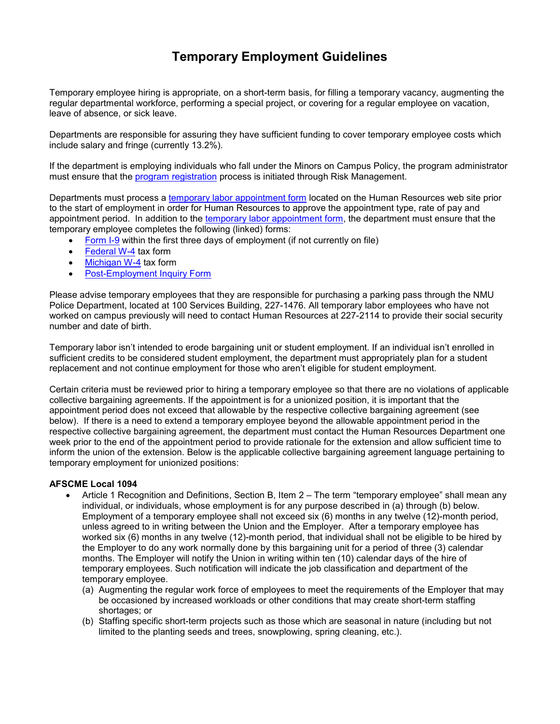## **Temporary Employment Guidelines**

Temporary employee hiring is appropriate, on a short-term basis, for filling a temporary vacancy, augmenting the regular departmental workforce, performing a special project, or covering for a regular employee on vacation, leave of absence, or sick leave.

Departments are responsible for assuring they have sufficient funding to cover temporary employee costs which include salary and fringe (currently 13.2%).

If the department is employing individuals who fall under the Minors on Campus Policy, the program administrator must ensure that the [program registration](http://www.nmu.edu/minorsoncampus/registration-info) process is initiated through Risk Management.

Departments must process a [temporary labor appointment form](http://www.nmu.edu/hr/sites/Drupalhr/files/UserFiles/Files/Pre-Drupal/SiteSections/Forms/Temporary_Labor_Appointment_Form.pdf) located on the Human Resources web site prior to the start of employment in order for Human Resources to approve the appointment type, rate of pay and appointment period. In addition to the [temporary labor appointment form,](http://www.nmu.edu/hr/sites/Drupalhr/files/UserFiles/Files/Pre-Drupal/SiteSections/Forms/Temporary_Labor_Appointment_Form.pdf) the department must ensure that the temporary employee completes the following (linked) forms:

- [Form I-9](https://www.uscis.gov/system/files_force/files/form/i-9.pdf?download=1) within the first three days of employment (if not currently on file)
- [Federal W-4](http://www.irs.gov/pub/irs-pdf/fw4.pdf) tax form
- [Michigan W-4](http://www.michigan.gov/documents/taxes/MI-W4_370050_7.pdf) tax form
- [Post-Employment Inquiry Form](http://www.nmu.edu/hr/sites/Drupalhr/files/UserFiles/Files/Pre-Drupal/SiteSections/Forms/Post_Employment_Inquiry_Form.pdf)

Please advise temporary employees that they are responsible for purchasing a parking pass through the NMU Police Department, located at 100 Services Building, 227-1476. All temporary labor employees who have not worked on campus previously will need to contact Human Resources at 227-2114 to provide their social security number and date of birth.

Temporary labor isn't intended to erode bargaining unit or student employment. If an individual isn't enrolled in sufficient credits to be considered student employment, the department must appropriately plan for a student replacement and not continue employment for those who aren't eligible for student employment.

Certain criteria must be reviewed prior to hiring a temporary employee so that there are no violations of applicable collective bargaining agreements. If the appointment is for a unionized position, it is important that the appointment period does not exceed that allowable by the respective collective bargaining agreement (see below). If there is a need to extend a temporary employee beyond the allowable appointment period in the respective collective bargaining agreement, the department must contact the Human Resources Department one week prior to the end of the appointment period to provide rationale for the extension and allow sufficient time to inform the union of the extension. Below is the applicable collective bargaining agreement language pertaining to temporary employment for unionized positions:

## **AFSCME Local 1094**

- Article 1 Recognition and Definitions, Section B, Item 2 The term "temporary employee" shall mean any individual, or individuals, whose employment is for any purpose described in (a) through (b) below. Employment of a temporary employee shall not exceed six (6) months in any twelve (12)-month period, unless agreed to in writing between the Union and the Employer. After a temporary employee has worked six (6) months in any twelve (12)-month period, that individual shall not be eligible to be hired by the Employer to do any work normally done by this bargaining unit for a period of three (3) calendar months. The Employer will notify the Union in writing within ten (10) calendar days of the hire of temporary employees. Such notification will indicate the job classification and department of the temporary employee.
	- (a) Augmenting the regular work force of employees to meet the requirements of the Employer that may be occasioned by increased workloads or other conditions that may create short-term staffing shortages; or
	- (b) Staffing specific short-term projects such as those which are seasonal in nature (including but not limited to the planting seeds and trees, snowplowing, spring cleaning, etc.).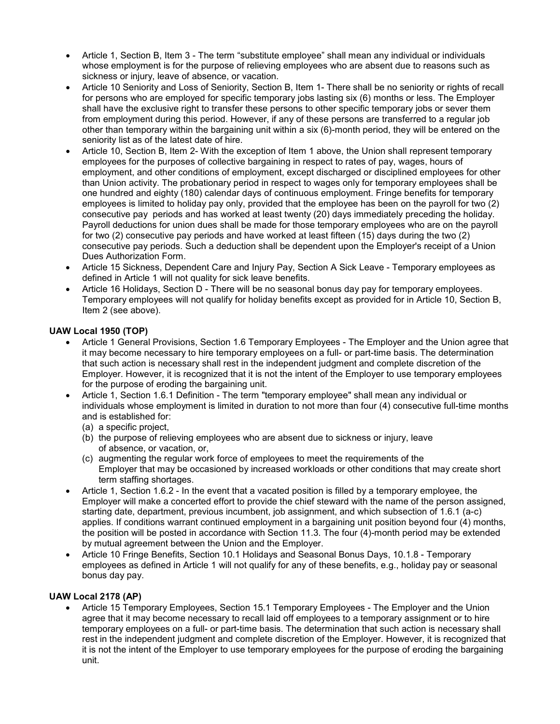- Article 1, Section B, Item 3 The term "substitute employee" shall mean any individual or individuals whose employment is for the purpose of relieving employees who are absent due to reasons such as sickness or injury, leave of absence, or vacation.
- Article 10 Seniority and Loss of Seniority, Section B, Item 1- There shall be no seniority or rights of recall for persons who are employed for specific temporary jobs lasting six (6) months or less. The Employer shall have the exclusive right to transfer these persons to other specific temporary jobs or sever them from employment during this period. However, if any of these persons are transferred to a regular job other than temporary within the bargaining unit within a six (6)-month period, they will be entered on the seniority list as of the latest date of hire.
- Article 10, Section B, Item 2- With the exception of Item 1 above, the Union shall represent temporary employees for the purposes of collective bargaining in respect to rates of pay, wages, hours of employment, and other conditions of employment, except discharged or disciplined employees for other than Union activity. The probationary period in respect to wages only for temporary employees shall be one hundred and eighty (180) calendar days of continuous employment. Fringe benefits for temporary employees is limited to holiday pay only, provided that the employee has been on the payroll for two (2) consecutive pay periods and has worked at least twenty (20) days immediately preceding the holiday. Payroll deductions for union dues shall be made for those temporary employees who are on the payroll for two (2) consecutive pay periods and have worked at least fifteen (15) days during the two (2) consecutive pay periods. Such a deduction shall be dependent upon the Employer's receipt of a Union Dues Authorization Form.
- Article 15 Sickness, Dependent Care and Injury Pay, Section A Sick Leave Temporary employees as defined in Article 1 will not quality for sick leave benefits.
- Article 16 Holidays, Section D There will be no seasonal bonus day pay for temporary employees. Temporary employees will not qualify for holiday benefits except as provided for in Article 10, Section B, Item 2 (see above).

## **UAW Local 1950 (TOP)**

- Article 1 General Provisions, Section 1.6 Temporary Employees The Employer and the Union agree that it may become necessary to hire temporary employees on a full- or part-time basis. The determination that such action is necessary shall rest in the independent judgment and complete discretion of the Employer. However, it is recognized that it is not the intent of the Employer to use temporary employees for the purpose of eroding the bargaining unit.
- Article 1, Section 1.6.1 Definition The term "temporary employee" shall mean any individual or individuals whose employment is limited in duration to not more than four (4) consecutive full-time months and is established for:
	- (a) a specific project,
	- (b) the purpose of relieving employees who are absent due to sickness or injury, leave of absence, or vacation, or,
	- (c) augmenting the regular work force of employees to meet the requirements of the Employer that may be occasioned by increased workloads or other conditions that may create short term staffing shortages.
- Article 1, Section 1.6.2 In the event that a vacated position is filled by a temporary employee, the Employer will make a concerted effort to provide the chief steward with the name of the person assigned, starting date, department, previous incumbent, job assignment, and which subsection of 1.6.1 (a-c) applies. If conditions warrant continued employment in a bargaining unit position beyond four (4) months, the position will be posted in accordance with Section 11.3. The four (4)-month period may be extended by mutual agreement between the Union and the Employer.
- Article 10 Fringe Benefits, Section 10.1 Holidays and Seasonal Bonus Days, 10.1.8 Temporary employees as defined in Article 1 will not qualify for any of these benefits, e.g., holiday pay or seasonal bonus day pay.

## **UAW Local 2178 (AP)**

• Article 15 Temporary Employees, Section 15.1 Temporary Employees - The Employer and the Union agree that it may become necessary to recall laid off employees to a temporary assignment or to hire temporary employees on a full- or part-time basis. The determination that such action is necessary shall rest in the independent judgment and complete discretion of the Employer. However, it is recognized that it is not the intent of the Employer to use temporary employees for the purpose of eroding the bargaining unit.